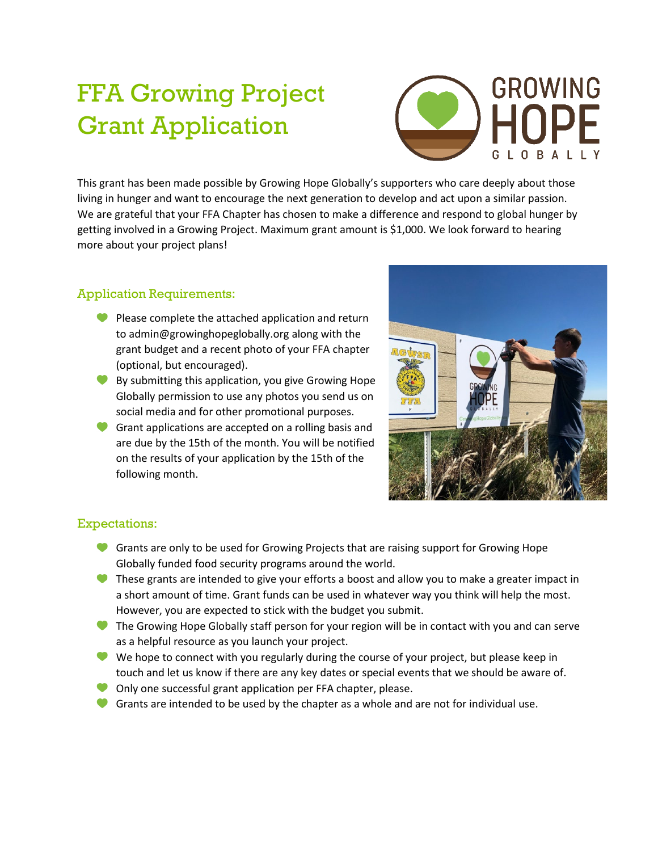## FFA Growing Project Grant Application



This grant has been made possible by Growing Hope Globally's supporters who care deeply about those living in hunger and want to encourage the next generation to develop and act upon a similar passion. We are grateful that your FFA Chapter has chosen to make a difference and respond to global hunger by getting involved in a Growing Project. Maximum grant amount is \$1,000. We look forward to hearing more about your project plans!

## Application Requirements:

- Please complete the attached application and return to admin@growinghopeglobally.org along with the grant budget and a recent photo of your FFA chapter (optional, but encouraged).
- By submitting this application, you give Growing Hope Globally permission to use any photos you send us on social media and for other promotional purposes.
- Grant applications are accepted on a rolling basis and are due by the 15th of the month. You will be notified on the results of your application by the 15th of the following month.



## Expectations:

- Grants are only to be used for Growing Projects that are raising support for Growing Hope Globally funded food security programs around the world.
- These grants are intended to give your efforts a boost and allow you to make a greater impact in a short amount of time. Grant funds can be used in whatever way you think will help the most. However, you are expected to stick with the budget you submit.
- The Growing Hope Globally staff person for your region will be in contact with you and can serve as a helpful resource as you launch your project.
- We hope to connect with you regularly during the course of your project, but please keep in touch and let us know if there are any key dates or special events that we should be aware of.
- Only one successful grant application per FFA chapter, please.
- Grants are intended to be used by the chapter as a whole and are not for individual use.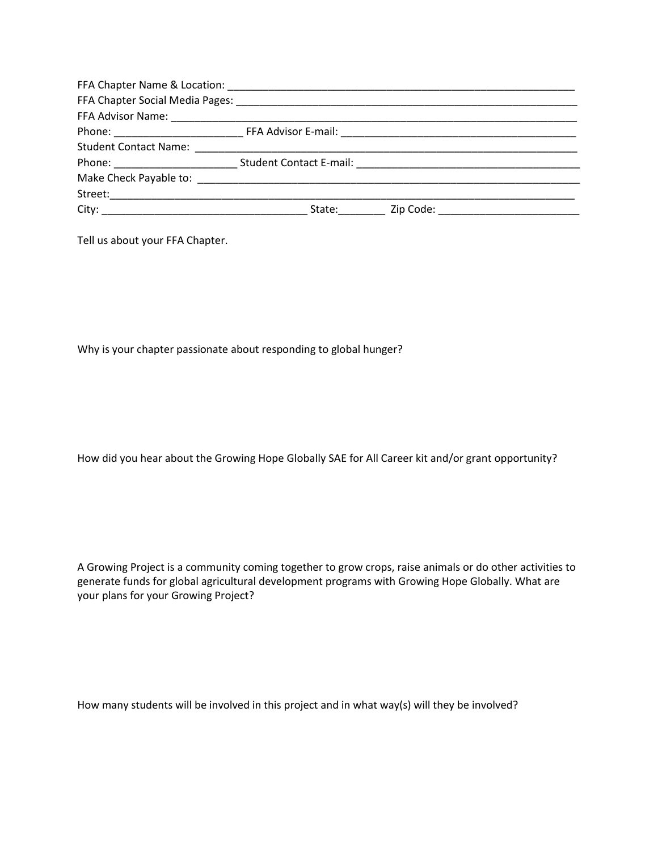Tell us about your FFA Chapter.

Why is your chapter passionate about responding to global hunger?

How did you hear about the Growing Hope Globally SAE for All Career kit and/or grant opportunity?

A Growing Project is a community coming together to grow crops, raise animals or do other activities to generate funds for global agricultural development programs with Growing Hope Globally. What are your plans for your Growing Project?

How many students will be involved in this project and in what way(s) will they be involved?